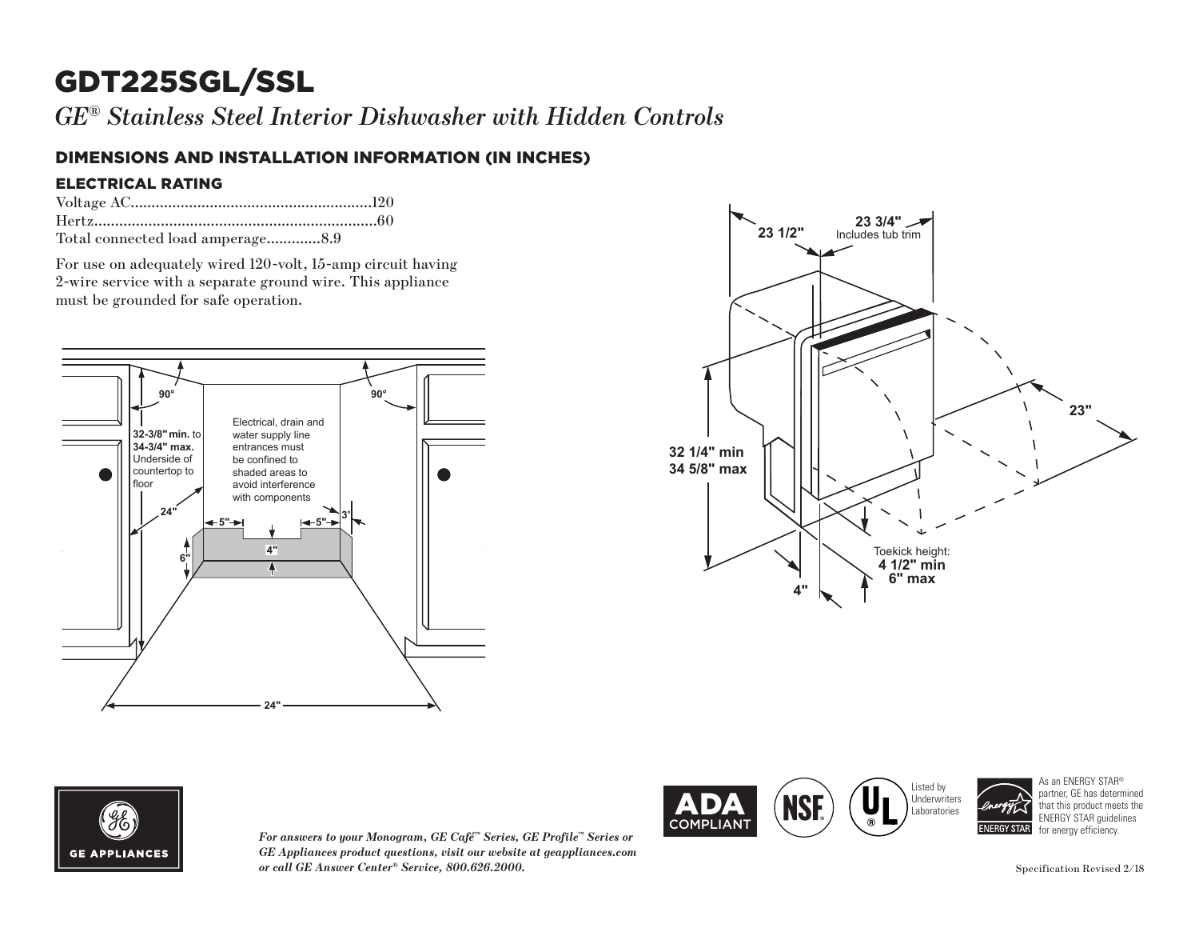# GDT225SGL/SSL

*GE® Stainless Steel Interior Dishwasher with Hidden Controls*

### DIMENSIONS AND INSTALLATION INFORMATION (IN INCHES)

#### ELECTRICAL RATING

| Total connected load amperage8.9 |  |
|----------------------------------|--|

For use on adequately wired 120-volt, 15-amp circuit having 2-wire service with a separate ground wire. This appliance must be grounded for safe operation.







*For answers to your Monogram, GE Café™ Series, GE Profile™ Series or GE Appliances product questions, visit our website at geappliances.com or call GE Answer Center® Service, 800.626.2000.*